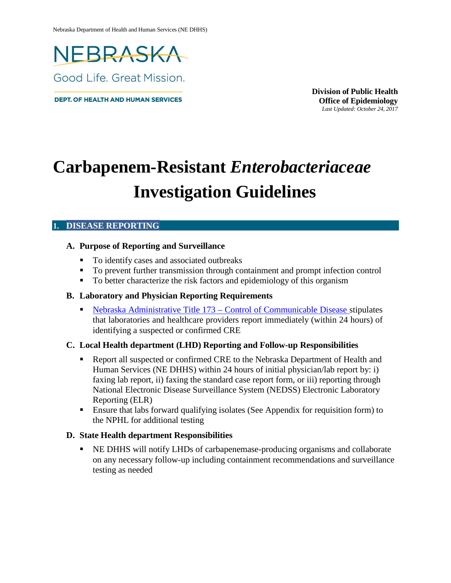

**DEPT. OF HEALTH AND HUMAN SERVICES** 

**Division of Public Health Office of Epidemiology** *Last Updated: October 24, 2017*

# **Carbapenem-Resistant** *Enterobacteriaceae* **Investigation Guidelines**

#### **1. DISEASE REPORTING**

#### **A. Purpose of Reporting and Surveillance**

- To identify cases and associated outbreaks
- To prevent further transmission through containment and prompt infection control
- To better characterize the risk factors and epidemiology of this organism

#### **B. Laboratory and Physician Reporting Requirements**

 Nebraska Administrative [Title 173 – Control of Communicable Disease s](http://dhhs.ne.gov/Pages/reg_t173.aspx)tipulates that laboratories and healthcare providers report immediately (within 24 hours) of identifying a suspected or confirmed CRE

#### **C. Local Health department (LHD) Reporting and Follow-up Responsibilities**

- **•** Report all suspected or confirmed CRE to the Nebraska Department of Health and Human Services (NE DHHS) within 24 hours of initial physician/lab report by: i) faxing lab report, ii) faxing the standard case report form, or iii) reporting through National Electronic Disease Surveillance System (NEDSS) Electronic Laboratory Reporting (ELR)
- Ensure that labs forward qualifying isolates (See Appendix for requisition form) to the NPHL for additional testing

#### **D. State Health department Responsibilities**

 NE DHHS will notify LHDs of carbapenemase-producing organisms and collaborate on any necessary follow-up including containment recommendations and surveillance testing as needed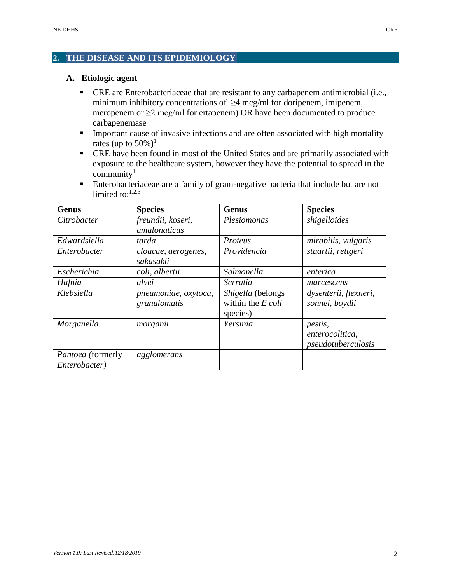#### **2. THE DISEASE AND ITS EPIDEMIOLOGY**

#### **A. Etiologic agent**

- CRE are Enterobacteriaceae that are resistant to any carbapenem antimicrobial (i.e., minimum inhibitory concentrations of  $\geq$ 4 mcg/ml for doripenem, imipenem, meropenem or  $\geq$ 2 mcg/ml for ertapenem) OR have been documented to produce carbapenemase
- **IMPORTANTICALLET INTERFERITE IN EXECUTE:** Important cause of invasive infections and are often associated with high mortality rates (up to  $50\%$ )<sup>1</sup>
- CRE have been found in most of the United States and are primarily associated with exposure to the healthcare system, however they have the potential to spread in the community $1$
- Enterobacteriaceae are a family of gram-negative bacteria that include but are not limited to: $1,2,3$

| Genus                    | <b>Species</b>       | <b>Genus</b>        | <b>Species</b>        |
|--------------------------|----------------------|---------------------|-----------------------|
| Citrobacter              | freundii, koseri,    | Plesiomonas         | shigelloides          |
|                          | amalonaticus         |                     |                       |
| Edwardsiella             | tarda                | Proteus             | mirabilis, vulgaris   |
| Enterobacter             | cloacae, aerogenes,  | Providencia         | stuartii, rettgeri    |
|                          | sakasakii            |                     |                       |
| Escherichia              | coli, albertii       | Salmonella          | enterica              |
| Hafnia                   | alvei                | Serratia            | marcescens            |
| Klebsiella               | pneumoniae, oxytoca, | Shigella (belongs   | dysenterii, flexneri, |
|                          | granulomatis         | within the $E$ coli | sonnei, boydii        |
|                          |                      | species)            |                       |
| Morganella               | $morganii$           | Yersinia            | <i>pestis,</i>        |
|                          |                      |                     | enterocolitica,       |
|                          |                      |                     | pseudotuberculosis    |
| <i>Pantoea</i> (formerly | agglomerans          |                     |                       |
| Enterobacter)            |                      |                     |                       |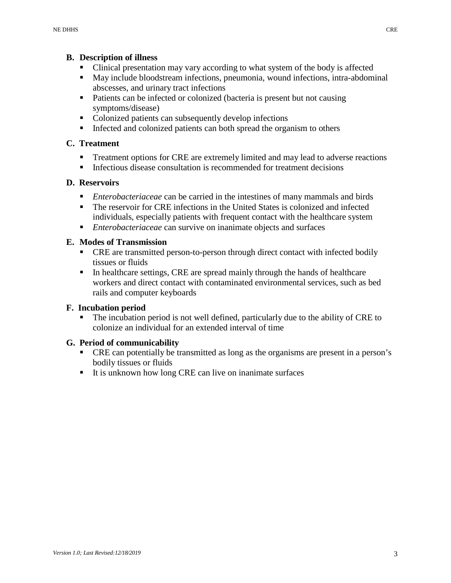#### **B. Description of illness**

- Clinical presentation may vary according to what system of the body is affected
- May include bloodstream infections, pneumonia, wound infections, intra-abdominal abscesses, and urinary tract infections
- Patients can be infected or colonized (bacteria is present but not causing symptoms/disease)
- Colonized patients can subsequently develop infections
- Infected and colonized patients can both spread the organism to others

# **C. Treatment**

- **Treatment options for CRE are extremely limited and may lead to adverse reactions**
- Infectious disease consultation is recommended for treatment decisions

# **D. Reservoirs**

- *Enterobacteriaceae* can be carried in the intestines of many mammals and birds
- The reservoir for CRE infections in the United States is colonized and infected individuals, especially patients with frequent contact with the healthcare system
- *Enterobacteriaceae* can survive on inanimate objects and surfaces

# **E. Modes of Transmission**

- CRE are transmitted person-to-person through direct contact with infected bodily tissues or fluids
- In healthcare settings, CRE are spread mainly through the hands of healthcare workers and direct contact with contaminated environmental services, such as bed rails and computer keyboards

# **F. Incubation period**

 The incubation period is not well defined, particularly due to the ability of CRE to colonize an individual for an extended interval of time

# **G. Period of communicability**

- CRE can potentially be transmitted as long as the organisms are present in a person's bodily tissues or fluids
- It is unknown how long CRE can live on inanimate surfaces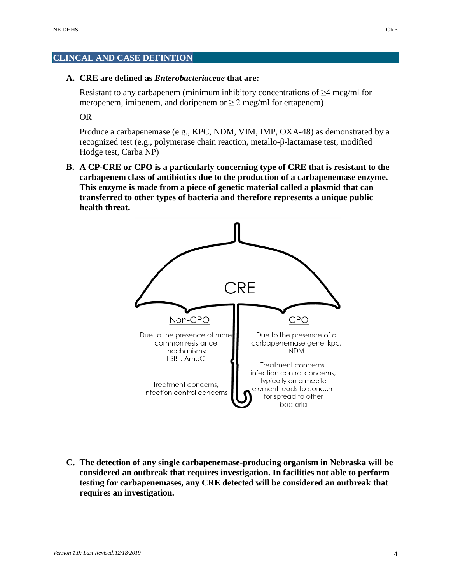#### **CLINCAL AND CASE DEFINTION**

#### **A. CRE are defined as** *Enterobacteriaceae* **that are:**

Resistant to any carbapenem (minimum inhibitory concentrations of  $\geq$ 4 mcg/ml for meropenem, imipenem, and doripenem or  $\geq 2$  mcg/ml for ertapenem)

OR

Produce a carbapenemase (e.g., KPC, NDM, VIM, IMP, OXA-48) as demonstrated by a recognized test (e.g., polymerase chain reaction, metallo-β-lactamase test, modified Hodge test, Carba NP)

**B. A CP-CRE or CPO is a particularly concerning type of CRE that is resistant to the carbapenem class of antibiotics due to the production of a carbapenemase enzyme. This enzyme is made from a piece of genetic material called a plasmid that can transferred to other types of bacteria and therefore represents a unique public health threat.**



**C. The detection of any single carbapenemase-producing organism in Nebraska will be considered an outbreak that requires investigation. In facilities not able to perform testing for carbapenemases, any CRE detected will be considered an outbreak that requires an investigation.**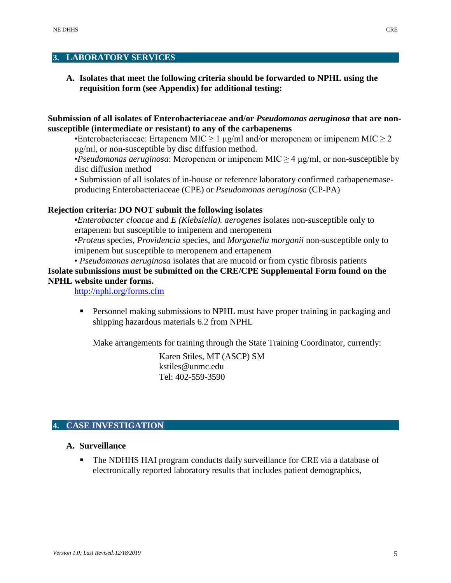#### **3. LABORATORY SERVICES**

**A. Isolates that meet the following criteria should be forwarded to NPHL using the requisition form (see Appendix) for additional testing:**

**Submission of all isolates of Enterobacteriaceae and/or** *Pseudomonas aeruginosa* **that are nonsusceptible (intermediate or resistant) to any of the carbapenems**

•Enterobacteriaceae: Ertapenem MIC  $\geq 1 \mu g/ml$  and/or meropenem or imipenem MIC  $\geq 2$ μg/ml, or non-susceptible by disc diffusion method.

•*Pseudomonas aeruginosa*: Meropenem or imipenem MIC ≥ 4 μg/ml, or non-susceptible by disc diffusion method

• Submission of all isolates of in-house or reference laboratory confirmed carbapenemaseproducing Enterobacteriaceae (CPE) or *Pseudomonas aeruginosa* (CP-PA)

#### **Rejection criteria: DO NOT submit the following isolates**

•*Enterobacter cloacae* and *E (Klebsiella). aerogenes* isolates non-susceptible only to ertapenem but susceptible to imipenem and meropenem

•*Proteus* species, *Providencia* species, and *Morganella morganii* non-susceptible only to imipenem but susceptible to meropenem and ertapenem

• *Pseudomonas aeruginosa* isolates that are mucoid or from cystic fibrosis patients

#### **Isolate submissions must be submitted on the CRE/CPE Supplemental Form found on the NPHL website under forms.**

<http://nphl.org/forms.cfm>

**Personnel making submissions to NPHL must have proper training in packaging and** shipping hazardous materials 6.2 from NPHL

Make arrangements for training through the State Training Coordinator, currently:

Karen Stiles, MT (ASCP) SM [kstiles@unmc.edu](mailto:kstiles@unmc.edu) Tel: 402-559-3590

#### **4. CASE INVESTIGATION**

#### **A. Surveillance**

 The NDHHS HAI program conducts daily surveillance for CRE via a database of electronically reported laboratory results that includes patient demographics,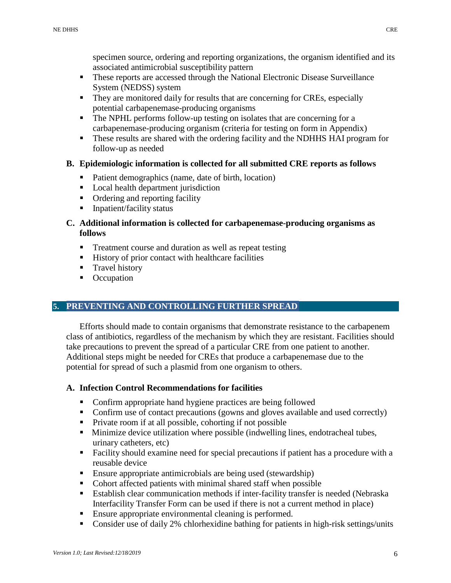specimen source, ordering and reporting organizations, the organism identified and its associated antimicrobial susceptibility pattern

- These reports are accessed through the National Electronic Disease Surveillance System (NEDSS) system
- They are monitored daily for results that are concerning for CREs, especially potential carbapenemase-producing organisms
- The NPHL performs follow-up testing on isolates that are concerning for a carbapenemase-producing organism (criteria for testing on form in Appendix)
- These results are shared with the ordering facility and the NDHHS HAI program for follow-up as needed

#### **B. Epidemiologic information is collected for all submitted CRE reports as follows**

- Patient demographics (name, date of birth, location)
- **Local health department jurisdiction**
- Ordering and reporting facility
- **Inpatient/facility status**

#### **C. Additional information is collected for carbapenemase-producing organisms as follows**

- **Treatment course and duration as well as repeat testing**
- **History of prior contact with healthcare facilities**
- **Travel history**
- Occupation

#### **5. PREVENTING AND CONTROLLING FURTHER SPREAD**

Efforts should made to contain organisms that demonstrate resistance to the carbapenem class of antibiotics, regardless of the mechanism by which they are resistant. Facilities should take precautions to prevent the spread of a particular CRE from one patient to another. Additional steps might be needed for CREs that produce a carbapenemase due to the potential for spread of such a plasmid from one organism to others.

#### **A. Infection Control Recommendations for facilities**

- Confirm appropriate hand hygiene practices are being followed
- Confirm use of contact precautions (gowns and gloves available and used correctly)
- **Private room if at all possible, cohorting if not possible**
- **Minimize device utilization where possible (indwelling lines, endotracheal tubes,** urinary catheters, etc)
- **Facility should examine need for special precautions if patient has a procedure with a** reusable device
- **Ensure appropriate antimicrobials are being used (stewardship)**
- Cohort affected patients with minimal shared staff when possible
- Establish clear communication methods if inter-facility transfer is needed (Nebraska Interfacility Transfer Form can be used if there is not a current method in place)
- **Ensure appropriate environmental cleaning is performed.**
- Consider use of daily 2% chlorhexidine bathing for patients in high-risk settings/units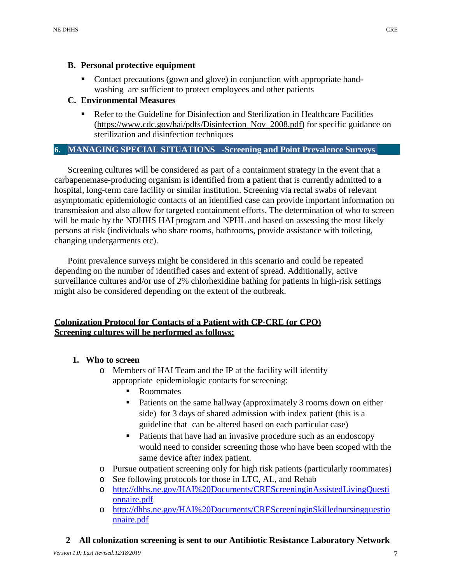#### **B. Personal protective equipment**

 Contact precautions (gown and glove) in conjunction with appropriate handwashing are sufficient to protect employees and other patients

# **C. Environmental Measures**

 Refer to the Guideline for Disinfection and Sterilization in Healthcare Facilities [\(https://www.cdc.gov/hai/pdfs/Disinfection\\_Nov\\_2008.pdf\)](https://www.cdc.gov/hai/pdfs/Disinfection_Nov_2008.pdf) for specific guidance on sterilization and disinfection techniques

# **6. MANAGING SPECIAL SITUATIONS -Screening and Point Prevalence Surveys**

Screening cultures will be considered as part of a containment strategy in the event that a carbapenemase-producing organism is identified from a patient that is currently admitted to a hospital, long-term care facility or similar institution. Screening via rectal swabs of relevant asymptomatic epidemiologic contacts of an identified case can provide important information on transmission and also allow for targeted containment efforts. The determination of who to screen will be made by the NDHHS HAI program and NPHL and based on assessing the most likely persons at risk (individuals who share rooms, bathrooms, provide assistance with toileting, changing undergarments etc).

Point prevalence surveys might be considered in this scenario and could be repeated depending on the number of identified cases and extent of spread. Additionally, active surveillance cultures and/or use of 2% chlorhexidine bathing for patients in high-risk settings might also be considered depending on the extent of the outbreak.

# **Colonization Protocol for Contacts of a Patient with CP-CRE (or CPO) Screening cultures will be performed as follows:**

# **1. Who to screen**

- o Members of HAI Team and the IP at the facility will identify appropriate epidemiologic contacts for screening:
	- Roommates
	- Patients on the same hallway (approximately 3 rooms down on either side) for 3 days of shared admission with index patient (this is a guideline that can be altered based on each particular case)
	- Patients that have had an invasive procedure such as an endoscopy would need to consider screening those who have been scoped with the same device after index patient.
- o Pursue outpatient screening only for high risk patients (particularly roommates)
- o See following protocols for those in LTC, AL, and Rehab
- o [http://dhhs.ne.gov/HAI%20Documents/CREScreeninginAssistedLivingQuesti](http://dhhs.ne.gov/HAI%20Documents/CREScreeninginAssistedLivingQuestionnaire.pdf) [onnaire.pdf](http://dhhs.ne.gov/HAI%20Documents/CREScreeninginAssistedLivingQuestionnaire.pdf)
- o [http://dhhs.ne.gov/HAI%20Documents/CREScreeninginSkillednursingquestio](http://dhhs.ne.gov/HAI%20Documents/CREScreeninginSkillednursingquestionnaire.pdf) [nnaire.pdf](http://dhhs.ne.gov/HAI%20Documents/CREScreeninginSkillednursingquestionnaire.pdf)
- **2 All colonization screening is sent to our Antibiotic Resistance Laboratory Network**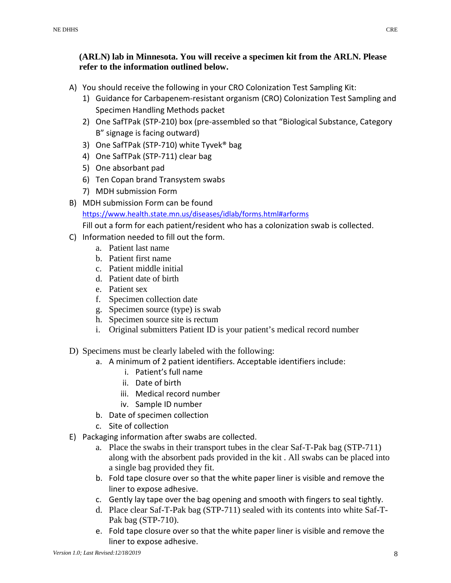# **(ARLN) lab in Minnesota. You will receive a specimen kit from the ARLN. Please refer to the information outlined below.**

- A) You should receive the following in your CRO Colonization Test Sampling Kit:
	- 1) Guidance for Carbapenem-resistant organism (CRO) Colonization Test Sampling and Specimen Handling Methods packet
	- 2) One SafTPak (STP-210) box (pre-assembled so that "Biological Substance, Category B" signage is facing outward)
	- 3) One SafTPak (STP-710) white Tyvek® bag
	- 4) One SafTPak (STP-711) clear bag
	- 5) One absorbant pad
	- 6) Ten Copan brand Transystem swabs
	- 7) MDH submission Form
- B) MDH submission Form can be found [https://www.health.state.mn.us/diseases/idlab/forms.html#arforms](https://gcc02.safelinks.protection.outlook.com/?url=https%3A%2F%2Fwww.health.state.mn.us%2Fdiseases%2Fidlab%2Fforms.html%23arforms&data=02%7C01%7CMargaret.Drake%40nebraska.gov%7Ce1cf8dc5c29f41bbaedd08d77fe2d711%7C043207dfe6894bf6902001038f11f0b1%7C0%7C0%7C637118484562369009&sdata=9nrgQTFkgzsPxHn26yzdGoR2rOtJaRvYU7I0WZ2yHHU%3D&reserved=0) Fill out a form for each patient/resident who has a colonization swab is collected.
- C) Information needed to fill out the form.
	- a. Patient last name
	- b. Patient first name
	- c. Patient middle initial
	- d. Patient date of birth
	- e. Patient sex
	- f. Specimen collection date
	- g. Specimen source (type) is swab
	- h. Specimen source site is rectum
	- i. Original submitters Patient ID is your patient's medical record number
- D) Specimens must be clearly labeled with the following:
	- a. A minimum of 2 patient identifiers. Acceptable identifiers include:
		- i. Patient's full name
		- ii. Date of birth
		- iii. Medical record number
		- iv. Sample ID number
	- b. Date of specimen collection
	- c. Site of collection
- E) Packaging information after swabs are collected.
	- a. Place the swabs in their transport tubes in the clear Saf-T-Pak bag (STP-711) along with the absorbent pads provided in the kit . All swabs can be placed into a single bag provided they fit.
	- b. Fold tape closure over so that the white paper liner is visible and remove the liner to expose adhesive.
	- c. Gently lay tape over the bag opening and smooth with fingers to seal tightly.
	- d. Place clear Saf-T-Pak bag (STP-711) sealed with its contents into white Saf-T-Pak bag (STP-710).
	- e. Fold tape closure over so that the white paper liner is visible and remove the liner to expose adhesive.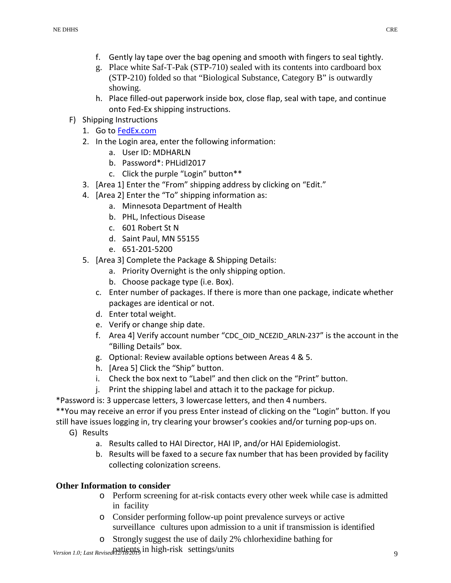- f. Gently lay tape over the bag opening and smooth with fingers to seal tightly.
- g. Place white Saf-T-Pak (STP-710) sealed with its contents into cardboard box (STP-210) folded so that "Biological Substance, Category B" is outwardly showing.
- h. Place filled-out paperwork inside box, close flap, seal with tape, and continue onto Fed-Ex shipping instructions.
- F) Shipping Instructions
	- 1. Go t[o FedEx.com](https://www.fedex.com/en-us/home.html)
	- 2. In the Login area, enter the following information:
		- a. User ID: MDHARLN
		- b. Password\*: PHLidl2017
		- c. Click the purple "Login" button\*\*
	- 3. [Area 1] Enter the "From" shipping address by clicking on "Edit."
	- 4. [Area 2] Enter the "To" shipping information as:
		- a. Minnesota Department of Health
		- b. PHL, Infectious Disease
		- c. 601 Robert St N
		- d. Saint Paul, MN 55155
		- e. 651-201-5200
	- 5. [Area 3] Complete the Package & Shipping Details:
		- a. Priority Overnight is the only shipping option.
		- b. Choose package type (i.e. Box).
		- c. Enter number of packages. If there is more than one package, indicate whether packages are identical or not.
		- d. Enter total weight.
		- e. Verify or change ship date.
		- f. Area 4] Verify account number "CDC\_OID\_NCEZID\_ARLN-237" is the account in the "Billing Details" box.
		- g. Optional: Review available options between Areas 4 & 5.
		- h. [Area 5] Click the "Ship" button.
		- i. Check the box next to "Label" and then click on the "Print" button.
		- j. Print the shipping label and attach it to the package for pickup.

\*Password is: 3 uppercase letters, 3 lowercase letters, and then 4 numbers.

\*\*You may receive an error if you press Enter instead of clicking on the "Login" button. If you still have issues logging in, try clearing your browser's cookies and/or turning pop-ups on.

- G) Results
	- a. Results called to HAI Director, HAI IP, and/or HAI Epidemiologist.
	- b. Results will be faxed to a secure fax number that has been provided by facility collecting colonization screens.

# **Other Information to consider**

- o Perform screening for at-risk contacts every other week while case is admitted in facility
- o Consider performing follow-up point prevalence surveys or active surveillance cultures upon admission to a unit if transmission is identified
- o Strongly suggest the use of daily 2% chlorhexidine bathing for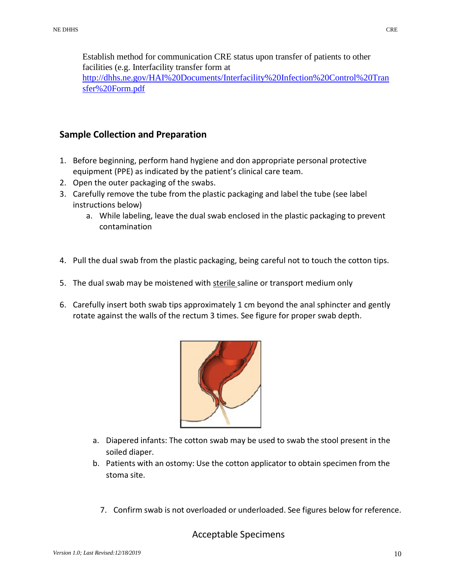Establish method for communication CRE status upon transfer of patients to other facilities (e.g. Interfacility transfer form at [http://dhhs.ne.gov/HAI%20Documents/Interfacility%20Infection%20Control%20Tran](http://dhhs.ne.gov/HAI%20Documents/Interfacility%20Infection%20Control%20Transfer%20Form.pdf) [sfer%20Form.pdf](http://dhhs.ne.gov/HAI%20Documents/Interfacility%20Infection%20Control%20Transfer%20Form.pdf)

# **Sample Collection and Preparation**

- 1. Before beginning, perform hand hygiene and don appropriate personal protective equipment (PPE) as indicated by the patient's clinical care team.
- 2. Open the outer packaging of the swabs.
- 3. Carefully remove the tube from the plastic packaging and label the tube (see label instructions below)
	- a. While labeling, leave the dual swab enclosed in the plastic packaging to prevent contamination
- 4. Pull the dual swab from the plastic packaging, being careful not to touch the cotton tips.
- 5. The dual swab may be moistened with sterile saline or transport medium only
- 6. Carefully insert both swab tips approximately 1 cm beyond the anal sphincter and gently rotate against the walls of the rectum 3 times. See figure for proper swab depth.



- a. Diapered infants: The cotton swab may be used to swab the stool present in the soiled diaper.
- b. Patients with an ostomy: Use the cotton applicator to obtain specimen from the stoma site.
	- 7. Confirm swab is not overloaded or underloaded. See figures below for reference.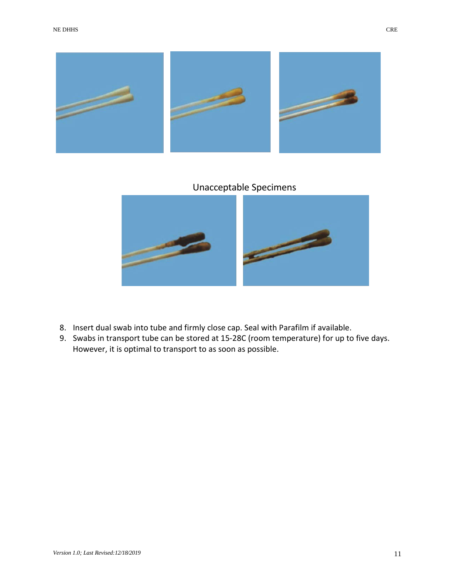



# Unacceptable Specimens



- 8. Insert dual swab into tube and firmly close cap. Seal with Parafilm if available.
- 9. Swabs in transport tube can be stored at 15-28C (room temperature) for up to five days. However, it is optimal to transport to as soon as possible.